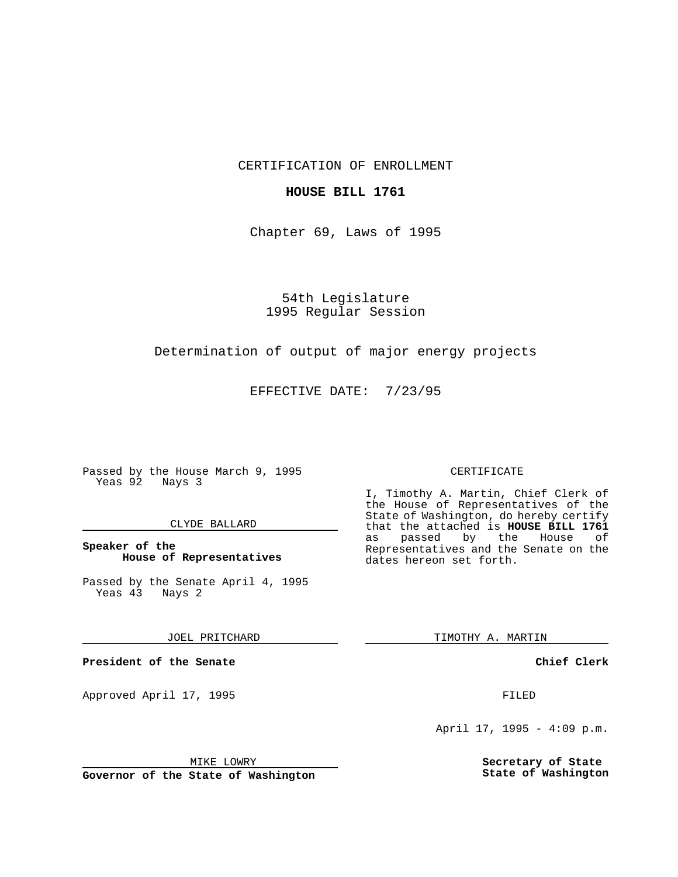CERTIFICATION OF ENROLLMENT

## **HOUSE BILL 1761**

Chapter 69, Laws of 1995

54th Legislature 1995 Regular Session

## Determination of output of major energy projects

EFFECTIVE DATE: 7/23/95

Passed by the House March 9, 1995 Yeas 92 Nays 3

#### CLYDE BALLARD

### **Speaker of the House of Representatives**

Passed by the Senate April 4, 1995 Yeas 43 Nays 2

#### JOEL PRITCHARD

**President of the Senate**

Approved April 17, 1995 FILED

## MIKE LOWRY

**Governor of the State of Washington**

#### CERTIFICATE

I, Timothy A. Martin, Chief Clerk of the House of Representatives of the State of Washington, do hereby certify that the attached is **HOUSE BILL 1761** as passed by the Representatives and the Senate on the dates hereon set forth.

TIMOTHY A. MARTIN

#### **Chief Clerk**

April 17, 1995 - 4:09 p.m.

**Secretary of State State of Washington**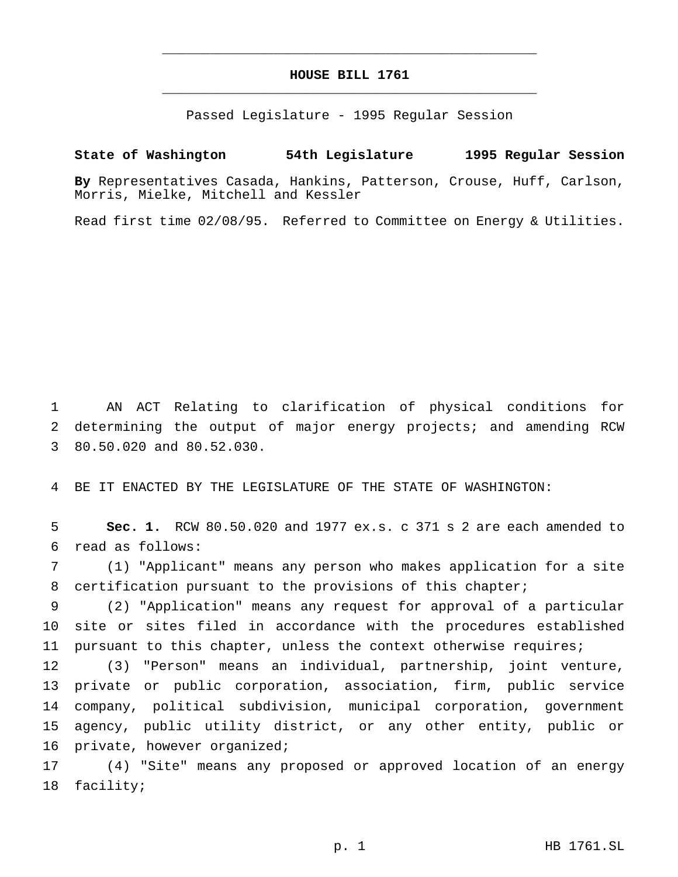# **HOUSE BILL 1761** \_\_\_\_\_\_\_\_\_\_\_\_\_\_\_\_\_\_\_\_\_\_\_\_\_\_\_\_\_\_\_\_\_\_\_\_\_\_\_\_\_\_\_\_\_\_\_

\_\_\_\_\_\_\_\_\_\_\_\_\_\_\_\_\_\_\_\_\_\_\_\_\_\_\_\_\_\_\_\_\_\_\_\_\_\_\_\_\_\_\_\_\_\_\_

Passed Legislature - 1995 Regular Session

## **State of Washington 54th Legislature 1995 Regular Session**

**By** Representatives Casada, Hankins, Patterson, Crouse, Huff, Carlson, Morris, Mielke, Mitchell and Kessler

Read first time 02/08/95. Referred to Committee on Energy & Utilities.

 AN ACT Relating to clarification of physical conditions for determining the output of major energy projects; and amending RCW 80.50.020 and 80.52.030.

BE IT ENACTED BY THE LEGISLATURE OF THE STATE OF WASHINGTON:

 **Sec. 1.** RCW 80.50.020 and 1977 ex.s. c 371 s 2 are each amended to read as follows:

 (1) "Applicant" means any person who makes application for a site certification pursuant to the provisions of this chapter;

 (2) "Application" means any request for approval of a particular site or sites filed in accordance with the procedures established 11 pursuant to this chapter, unless the context otherwise requires;

 (3) "Person" means an individual, partnership, joint venture, private or public corporation, association, firm, public service company, political subdivision, municipal corporation, government agency, public utility district, or any other entity, public or private, however organized;

 (4) "Site" means any proposed or approved location of an energy facility;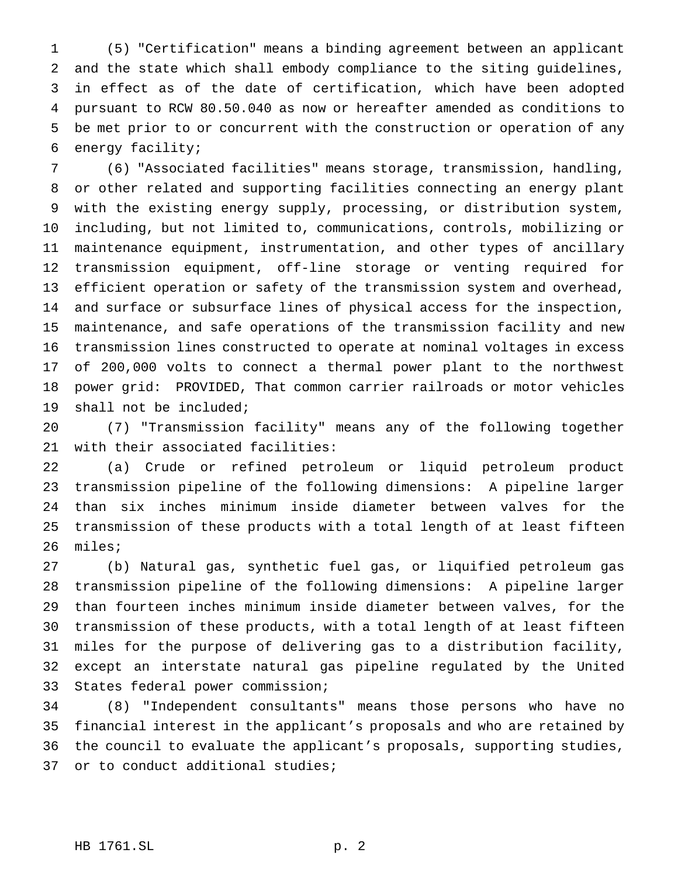(5) "Certification" means a binding agreement between an applicant and the state which shall embody compliance to the siting guidelines, in effect as of the date of certification, which have been adopted pursuant to RCW 80.50.040 as now or hereafter amended as conditions to be met prior to or concurrent with the construction or operation of any energy facility;

 (6) "Associated facilities" means storage, transmission, handling, or other related and supporting facilities connecting an energy plant with the existing energy supply, processing, or distribution system, including, but not limited to, communications, controls, mobilizing or maintenance equipment, instrumentation, and other types of ancillary transmission equipment, off-line storage or venting required for efficient operation or safety of the transmission system and overhead, and surface or subsurface lines of physical access for the inspection, maintenance, and safe operations of the transmission facility and new transmission lines constructed to operate at nominal voltages in excess of 200,000 volts to connect a thermal power plant to the northwest power grid: PROVIDED, That common carrier railroads or motor vehicles shall not be included;

 (7) "Transmission facility" means any of the following together with their associated facilities:

 (a) Crude or refined petroleum or liquid petroleum product transmission pipeline of the following dimensions: A pipeline larger than six inches minimum inside diameter between valves for the transmission of these products with a total length of at least fifteen miles;

 (b) Natural gas, synthetic fuel gas, or liquified petroleum gas transmission pipeline of the following dimensions: A pipeline larger than fourteen inches minimum inside diameter between valves, for the transmission of these products, with a total length of at least fifteen miles for the purpose of delivering gas to a distribution facility, except an interstate natural gas pipeline regulated by the United States federal power commission;

 (8) "Independent consultants" means those persons who have no financial interest in the applicant's proposals and who are retained by the council to evaluate the applicant's proposals, supporting studies, or to conduct additional studies;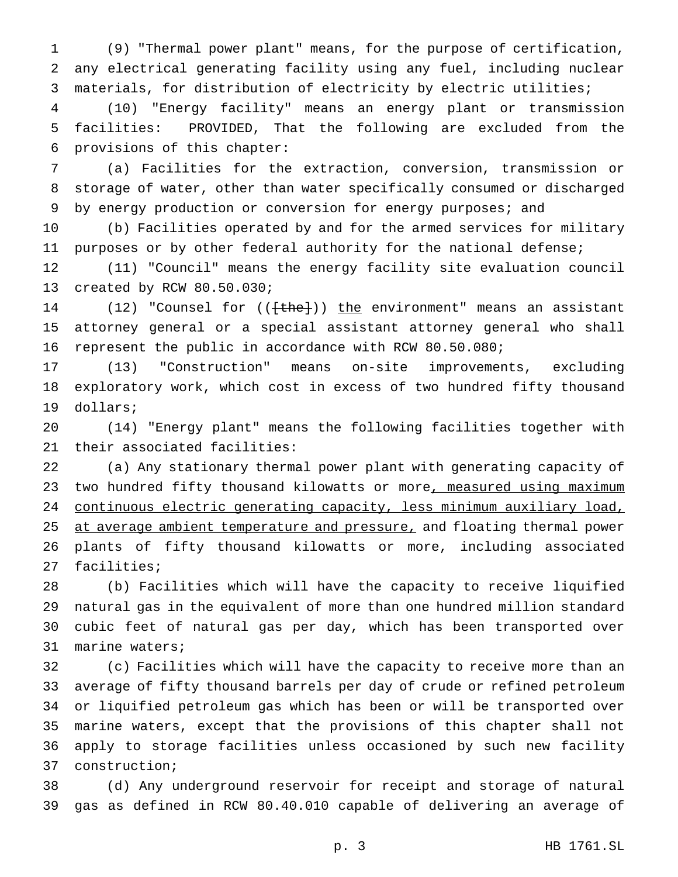(9) "Thermal power plant" means, for the purpose of certification, any electrical generating facility using any fuel, including nuclear materials, for distribution of electricity by electric utilities;

 (10) "Energy facility" means an energy plant or transmission facilities: PROVIDED, That the following are excluded from the provisions of this chapter:

 (a) Facilities for the extraction, conversion, transmission or storage of water, other than water specifically consumed or discharged 9 by energy production or conversion for energy purposes; and

 (b) Facilities operated by and for the armed services for military purposes or by other federal authority for the national defense;

 (11) "Council" means the energy facility site evaluation council created by RCW 80.50.030;

14 (12) "Counsel for ((<del>[the]</del>)) the environment" means an assistant attorney general or a special assistant attorney general who shall represent the public in accordance with RCW 80.50.080;

 (13) "Construction" means on-site improvements, excluding exploratory work, which cost in excess of two hundred fifty thousand dollars;

 (14) "Energy plant" means the following facilities together with their associated facilities:

 (a) Any stationary thermal power plant with generating capacity of 23 two hundred fifty thousand kilowatts or more, measured using maximum continuous electric generating capacity, less minimum auxiliary load, 25 at average ambient temperature and pressure, and floating thermal power plants of fifty thousand kilowatts or more, including associated facilities;

 (b) Facilities which will have the capacity to receive liquified natural gas in the equivalent of more than one hundred million standard cubic feet of natural gas per day, which has been transported over marine waters;

 (c) Facilities which will have the capacity to receive more than an average of fifty thousand barrels per day of crude or refined petroleum or liquified petroleum gas which has been or will be transported over marine waters, except that the provisions of this chapter shall not apply to storage facilities unless occasioned by such new facility construction;

 (d) Any underground reservoir for receipt and storage of natural gas as defined in RCW 80.40.010 capable of delivering an average of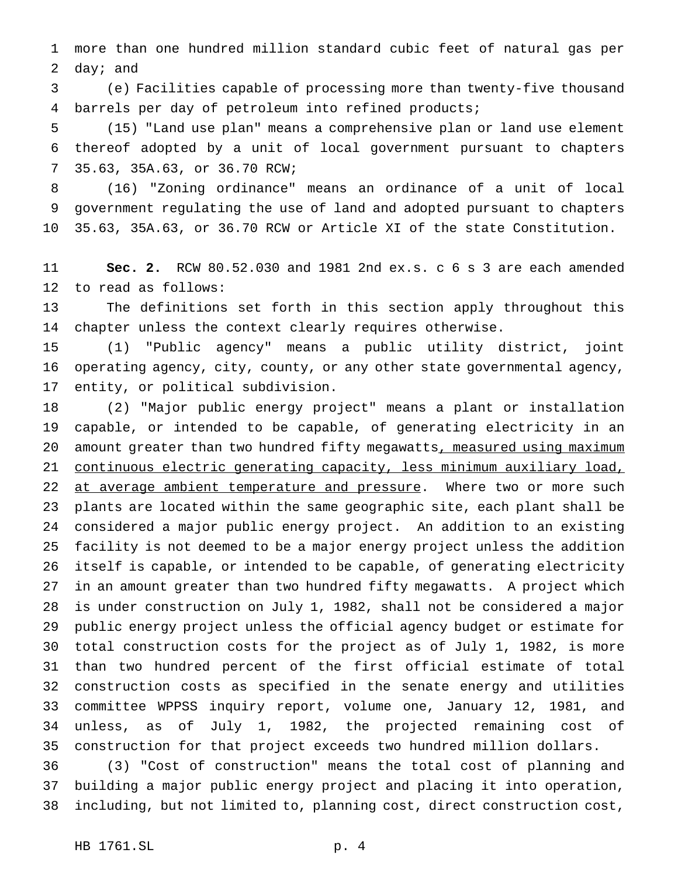more than one hundred million standard cubic feet of natural gas per day; and

 (e) Facilities capable of processing more than twenty-five thousand barrels per day of petroleum into refined products;

 (15) "Land use plan" means a comprehensive plan or land use element thereof adopted by a unit of local government pursuant to chapters 35.63, 35A.63, or 36.70 RCW;

 (16) "Zoning ordinance" means an ordinance of a unit of local government regulating the use of land and adopted pursuant to chapters 35.63, 35A.63, or 36.70 RCW or Article XI of the state Constitution.

 **Sec. 2.** RCW 80.52.030 and 1981 2nd ex.s. c 6 s 3 are each amended to read as follows:

 The definitions set forth in this section apply throughout this chapter unless the context clearly requires otherwise.

 (1) "Public agency" means a public utility district, joint operating agency, city, county, or any other state governmental agency, entity, or political subdivision.

 (2) "Major public energy project" means a plant or installation capable, or intended to be capable, of generating electricity in an 20 amount greater than two hundred fifty megawatts, measured using maximum continuous electric generating capacity, less minimum auxiliary load, 22 at average ambient temperature and pressure. Where two or more such plants are located within the same geographic site, each plant shall be considered a major public energy project. An addition to an existing facility is not deemed to be a major energy project unless the addition itself is capable, or intended to be capable, of generating electricity in an amount greater than two hundred fifty megawatts. A project which is under construction on July 1, 1982, shall not be considered a major public energy project unless the official agency budget or estimate for total construction costs for the project as of July 1, 1982, is more than two hundred percent of the first official estimate of total construction costs as specified in the senate energy and utilities committee WPPSS inquiry report, volume one, January 12, 1981, and unless, as of July 1, 1982, the projected remaining cost of construction for that project exceeds two hundred million dollars.

 (3) "Cost of construction" means the total cost of planning and building a major public energy project and placing it into operation, including, but not limited to, planning cost, direct construction cost,